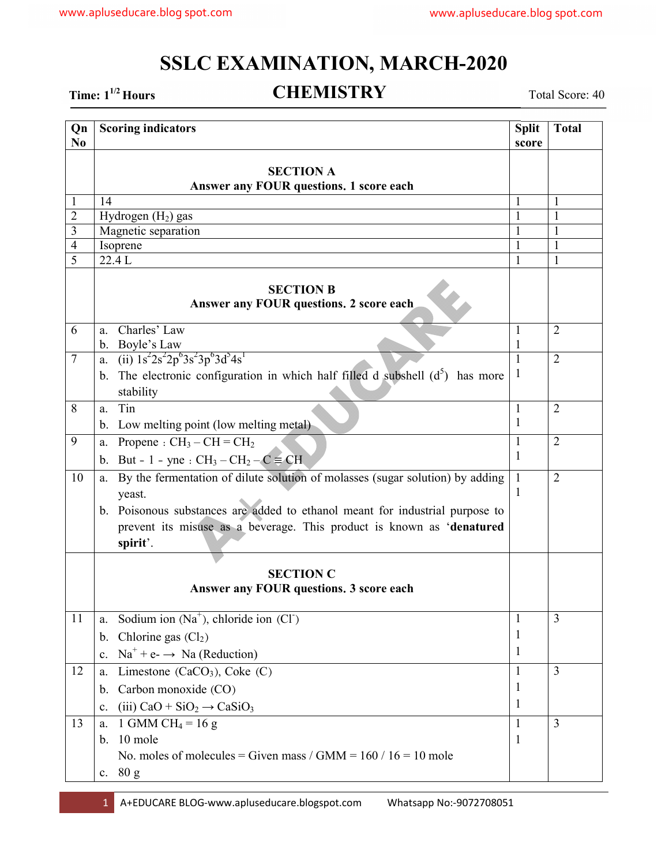## **SSLC EXAMINATION, MARCH-2020**

Time: 1<sup>1/2</sup> Hours **CHEMISTRY** Total Score: 40

| Qn<br>N <sub>0</sub> | <b>Scoring indicators</b>                                                           | <b>Split</b><br>score | <b>Total</b>   |  |  |
|----------------------|-------------------------------------------------------------------------------------|-----------------------|----------------|--|--|
|                      | <b>SECTION A</b>                                                                    |                       |                |  |  |
|                      | Answer any FOUR questions. 1 score each                                             |                       |                |  |  |
|                      | 14                                                                                  |                       | 1              |  |  |
| $\overline{2}$       | Hydrogen $(H2)$ gas                                                                 |                       |                |  |  |
| 3                    | Magnetic separation                                                                 |                       | 1              |  |  |
| $\overline{4}$       | Isoprene                                                                            | 1                     | $\mathbf{1}$   |  |  |
| 5                    | 22.4 L                                                                              | 1                     | $\mathbf{1}$   |  |  |
|                      | <b>SECTION B</b><br>Answer any FOUR questions. 2 score each                         |                       |                |  |  |
| 6                    | a. Charles' Law<br>b. Boyle's Law                                                   | 1<br>1                | $\overline{2}$ |  |  |
| $\overline{7}$       | a. (ii) $1s^22s^22p^63s^23p^63d^54s^1$                                              |                       | $\overline{2}$ |  |  |
|                      | b. The electronic configuration in which half filled d subshell $(d^5)$ has more    | 1                     |                |  |  |
| 8                    | stability<br>Tin                                                                    |                       | $\overline{2}$ |  |  |
|                      | a.<br>b. Low melting point (low melting metal)                                      | 1<br>1                |                |  |  |
| 9                    | a. Propene : $CH_3-CH=CH_2$                                                         | 1                     | $\overline{2}$ |  |  |
|                      | b. But - 1 - yne : $CH_3-CH_2-C \equiv CH$                                          | 1                     |                |  |  |
| 10                   | By the fermentation of dilute solution of molasses (sugar solution) by adding<br>a. | 1                     | $\overline{2}$ |  |  |
|                      | yeast.                                                                              | $\mathbf{I}$          |                |  |  |
|                      | b. Poisonous substances are added to ethanol meant for industrial purpose to        |                       |                |  |  |
|                      | prevent its misuse as a beverage. This product is known as 'denatured<br>spirit'.   |                       |                |  |  |
|                      |                                                                                     |                       |                |  |  |
|                      | <b>SECTION C</b>                                                                    |                       |                |  |  |
|                      | Answer any FOUR questions. 3 score each                                             |                       |                |  |  |
| 11                   | Sodium ion $(Na^+)$ , chloride ion $(Cl^-)$<br>a.                                   | 1                     | 3              |  |  |
|                      | Chlorine gas $(Cl2)$<br>b.                                                          | 1                     |                |  |  |
|                      | $Na^{+} + e^{-} \rightarrow Na (Reduction)$<br>$\mathbf{c}$ .                       | 1                     |                |  |  |
| 12                   | Limestone (CaCO <sub>3</sub> ), Coke (C)<br>a.                                      | 1                     | 3              |  |  |
|                      | Carbon monoxide (CO)<br>b.                                                          | 1                     |                |  |  |
|                      | $(iii)$ CaO + SiO <sub>2</sub> $\rightarrow$ CaSiO <sub>3</sub><br>$\mathbf{c}$ .   | 1                     |                |  |  |
| 13                   | 1 GMM CH <sub>4</sub> = 16 g<br>a.                                                  | 1                     | 3              |  |  |
|                      | 10 mole<br>b.                                                                       | $\mathbf{1}$          |                |  |  |
|                      | No. moles of molecules = Given mass / GMM = $160$ / $16 = 10$ mole                  |                       |                |  |  |
|                      | c. 80 g                                                                             |                       |                |  |  |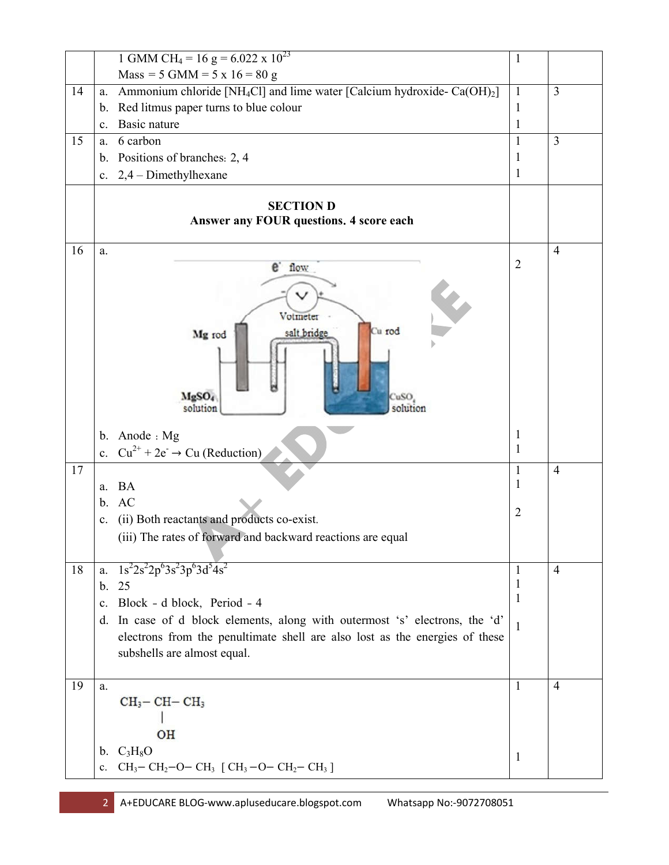